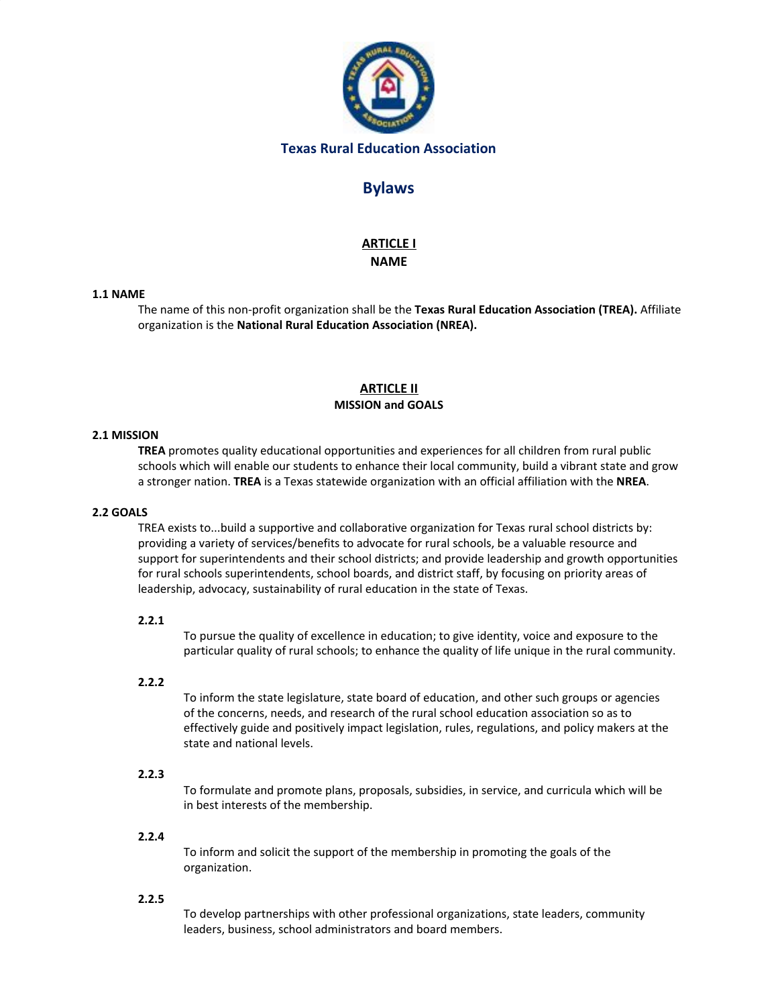

## **Texas Rural Education Association**

# **Bylaws**

## **ARTICLE I NAME**

### **1.1 NAME**

The name of this non-profit organization shall be the **Texas Rural Education Association (TREA).** Affiliate organization is the **National Rural Education Association (NREA).**

## **ARTICLE II MISSION and GOALS**

## **2.1 MISSION**

**TREA** promotes quality educational opportunities and experiences for all children from rural public schools which will enable our students to enhance their local community, build a vibrant state and grow a stronger nation. **TREA** is a Texas statewide organization with an official affiliation with the **NREA**.

### **2.2 GOALS**

TREA exists to...build a supportive and collaborative organization for Texas rural school districts by: providing a variety of services/benefits to advocate for rural schools, be a valuable resource and support for superintendents and their school districts; and provide leadership and growth opportunities for rural schools superintendents, school boards, and district staff, by focusing on priority areas of leadership, advocacy, sustainability of rural education in the state of Texas.

#### **2.2.1**

To pursue the quality of excellence in education; to give identity, voice and exposure to the particular quality of rural schools; to enhance the quality of life unique in the rural community.

### **2.2.2**

To inform the state legislature, state board of education, and other such groups or agencies of the concerns, needs, and research of the rural school education association so as to effectively guide and positively impact legislation, rules, regulations, and policy makers at the state and national levels.

## **2.2.3**

To formulate and promote plans, proposals, subsidies, in service, and curricula which will be in best interests of the membership.

### **2.2.4**

To inform and solicit the support of the membership in promoting the goals of the organization.

#### **2.2.5**

To develop partnerships with other professional organizations, state leaders, community leaders, business, school administrators and board members.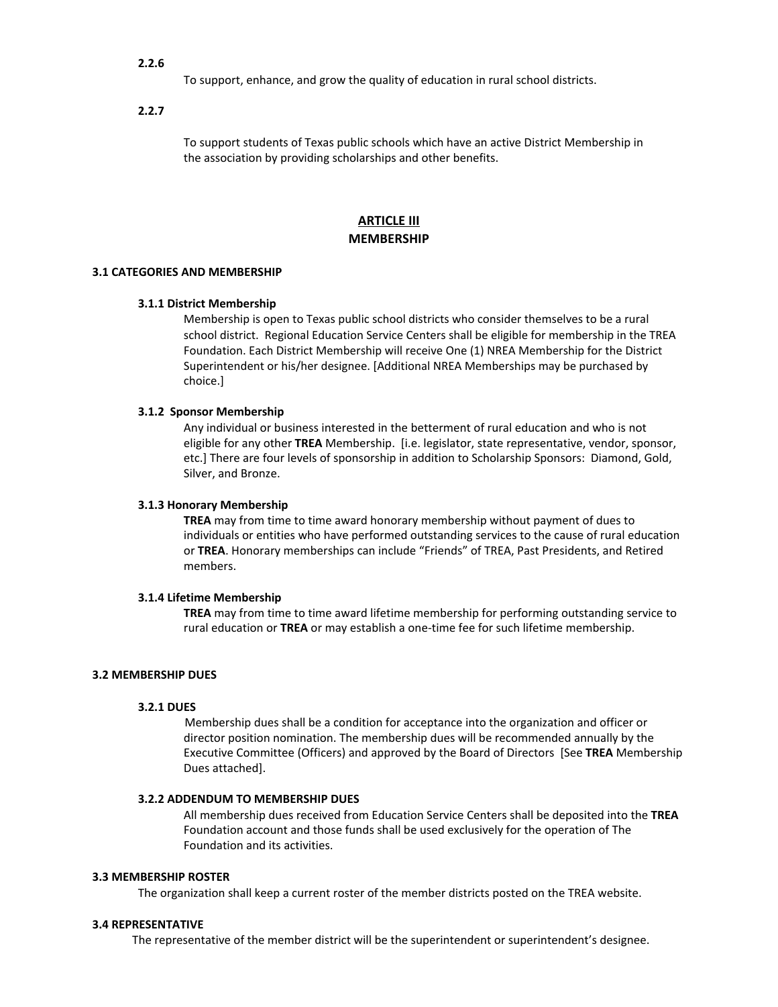### **2.2.6**

To support, enhance, and grow the quality of education in rural school districts.

**2.2.7**

To support students of Texas public schools which have an active District Membership in the association by providing scholarships and other benefits.

## **ARTICLE III MEMBERSHIP**

### **3.1 CATEGORIES AND MEMBERSHIP**

### **3.1.1 District Membership**

Membership is open to Texas public school districts who consider themselves to be a rural school district. Regional Education Service Centers shall be eligible for membership in the TREA Foundation. Each District Membership will receive One (1) NREA Membership for the District Superintendent or his/her designee. [Additional NREA Memberships may be purchased by choice.]

### **3.1.2 Sponsor Membership**

Any individual or business interested in the betterment of rural education and who is not eligible for any other **TREA** Membership. [i.e. legislator, state representative, vendor, sponsor, etc.] There are four levels of sponsorship in addition to Scholarship Sponsors: Diamond, Gold, Silver, and Bronze.

#### **3.1.3 Honorary Membership**

**TREA** may from time to time award honorary membership without payment of dues to individuals or entities who have performed outstanding services to the cause of rural education or **TREA**. Honorary memberships can include "Friends" of TREA, Past Presidents, and Retired members.

### **3.1.4 Lifetime Membership**

**TREA** may from time to time award lifetime membership for performing outstanding service to rural education or **TREA** or may establish a one-time fee for such lifetime membership.

### **3.2 MEMBERSHIP DUES**

### **3.2.1 DUES**

Membership dues shall be a condition for acceptance into the organization and officer or director position nomination. The membership dues will be recommended annually by the Executive Committee (Officers) and approved by the Board of Directors [See **TREA** Membership Dues attached].

#### **3.2.2 ADDENDUM TO MEMBERSHIP DUES**

All membership dues received from Education Service Centers shall be deposited into the **TREA** Foundation account and those funds shall be used exclusively for the operation of The Foundation and its activities.

#### **3.3 MEMBERSHIP ROSTER**

The organization shall keep a current roster of the member districts posted on the TREA website.

### **3.4 REPRESENTATIVE**

The representative of the member district will be the superintendent or superintendent's designee.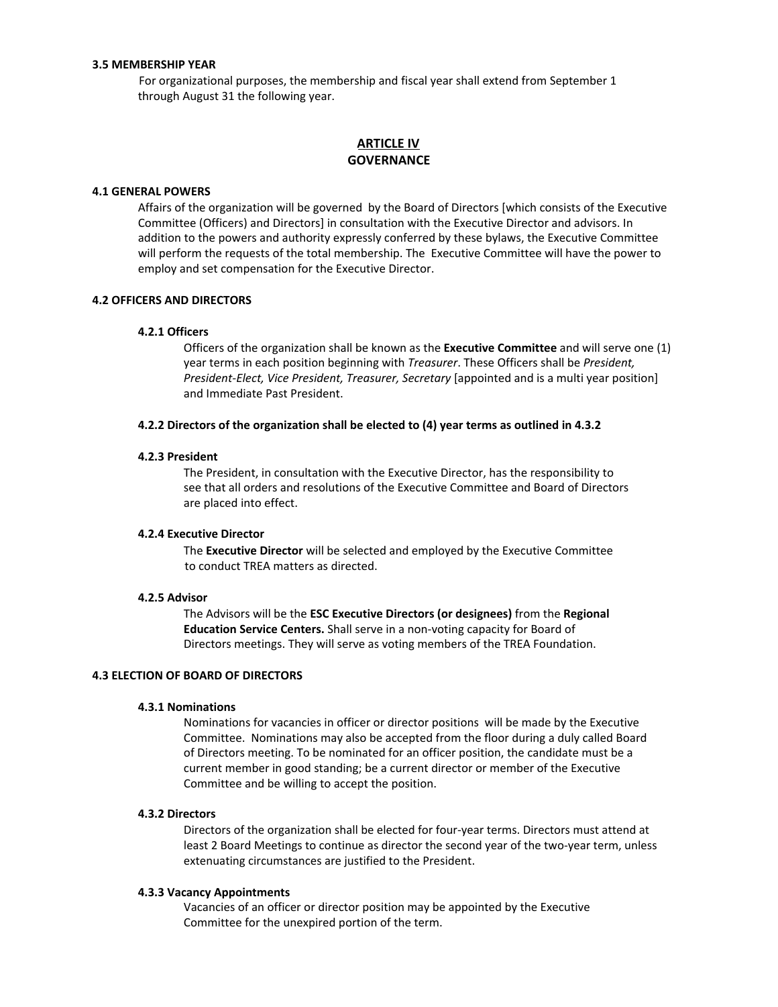### **3.5 MEMBERSHIP YEAR**

For organizational purposes, the membership and fiscal year shall extend from September 1 through August 31 the following year.

## **ARTICLE IV GOVERNANCE**

#### **4.1 GENERAL POWERS**

Affairs of the organization will be governed by the Board of Directors [which consists of the Executive Committee (Officers) and Directors] in consultation with the Executive Director and advisors. In addition to the powers and authority expressly conferred by these bylaws, the Executive Committee will perform the requests of the total membership. The Executive Committee will have the power to employ and set compensation for the Executive Director.

### **4.2 OFFICERS AND DIRECTORS**

#### **4.2.1 Officers**

Officers of the organization shall be known as the **Executive Committee** and will serve one (1) year terms in each position beginning with *Treasurer*. These Officers shall be *President, President-Elect, Vice President, Treasurer, Secretary* [appointed and is a multi year position] and Immediate Past President.

### **4.2.2 Directors of the organization shall be elected to (4) year terms as outlined in 4.3.2**

#### **4.2.3 President**

The President, in consultation with the Executive Director, has the responsibility to see that all orders and resolutions of the Executive Committee and Board of Directors are placed into effect.

#### **4.2.4 Executive Director**

The **Executive Director** will be selected and employed by the Executive Committee to conduct TREA matters as directed.

#### **4.2.5 Advisor**

The Advisors will be the **ESC Executive Directors (or designees)** from the **Regional Education Service Centers.** Shall serve in a non-voting capacity for Board of Directors meetings. They will serve as voting members of the TREA Foundation.

### **4.3 ELECTION OF BOARD OF DIRECTORS**

### **4.3.1 Nominations**

Nominations for vacancies in officer or director positions will be made by the Executive Committee. Nominations may also be accepted from the floor during a duly called Board of Directors meeting. To be nominated for an officer position, the candidate must be a current member in good standing; be a current director or member of the Executive Committee and be willing to accept the position.

#### **4.3.2 Directors**

Directors of the organization shall be elected for four-year terms. Directors must attend at least 2 Board Meetings to continue as director the second year of the two-year term, unless extenuating circumstances are justified to the President.

#### **4.3.3 Vacancy Appointments**

Vacancies of an officer or director position may be appointed by the Executive Committee for the unexpired portion of the term.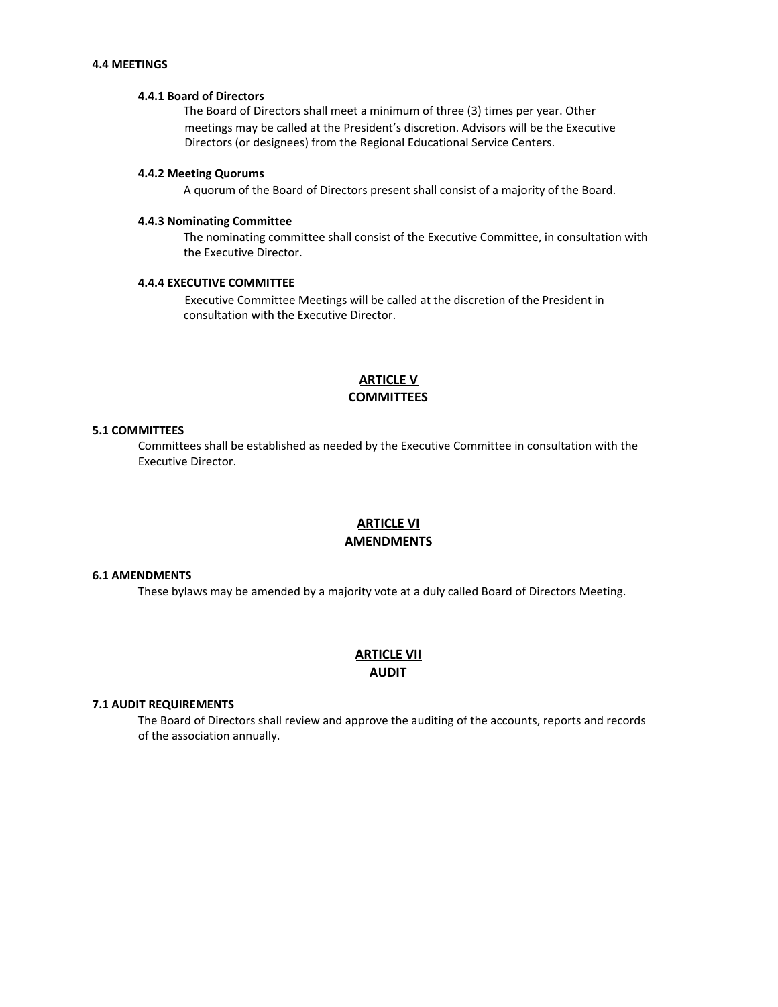### **4.4 MEETINGS**

### **4.4.1 Board of Directors**

The Board of Directors shall meet a minimum of three (3) times per year. Other meetings may be called at the President's discretion. Advisors will be the Executive Directors (or designees) from the Regional Educational Service Centers.

#### **4.4.2 Meeting Quorums**

A quorum of the Board of Directors present shall consist of a majority of the Board.

#### **4.4.3 Nominating Committee**

The nominating committee shall consist of the Executive Committee, in consultation with the Executive Director.

### **4.4.4 EXECUTIVE COMMITTEE**

Executive Committee Meetings will be called at the discretion of the President in consultation with the Executive Director.

## **ARTICLE V COMMITTEES**

### **5.1 COMMITTEES**

Committees shall be established as needed by the Executive Committee in consultation with the Executive Director.

## **ARTICLE VI AMENDMENTS**

### **6.1 AMENDMENTS**

These bylaws may be amended by a majority vote at a duly called Board of Directors Meeting.

## **ARTICLE VII AUDIT**

### **7.1 AUDIT REQUIREMENTS**

The Board of Directors shall review and approve the auditing of the accounts, reports and records of the association annually.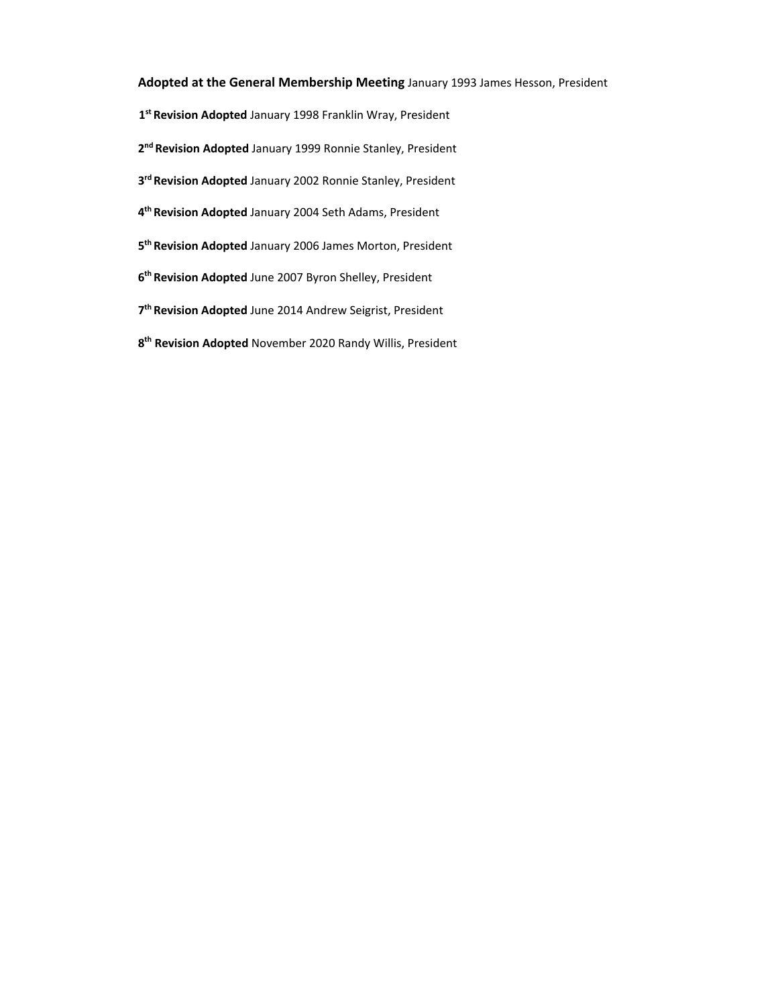## **Adopted at the General Membership Meeting** January 1993 James Hesson, President

- **st Revision Adopted** January 1998 Franklin Wray, President
- **nd Revision Adopted** January 1999 Ronnie Stanley, President
- **rd Revision Adopted** January 2002 Ronnie Stanley, President
- **th Revision Adopted** January 2004 Seth Adams, President
- **th Revision Adopted** January 2006 James Morton, President
- **th Revision Adopted** June 2007 Byron Shelley, President
- **th Revision Adopted** June 2014 Andrew Seigrist, President
- **th Revision Adopted** November 2020 Randy Willis, President